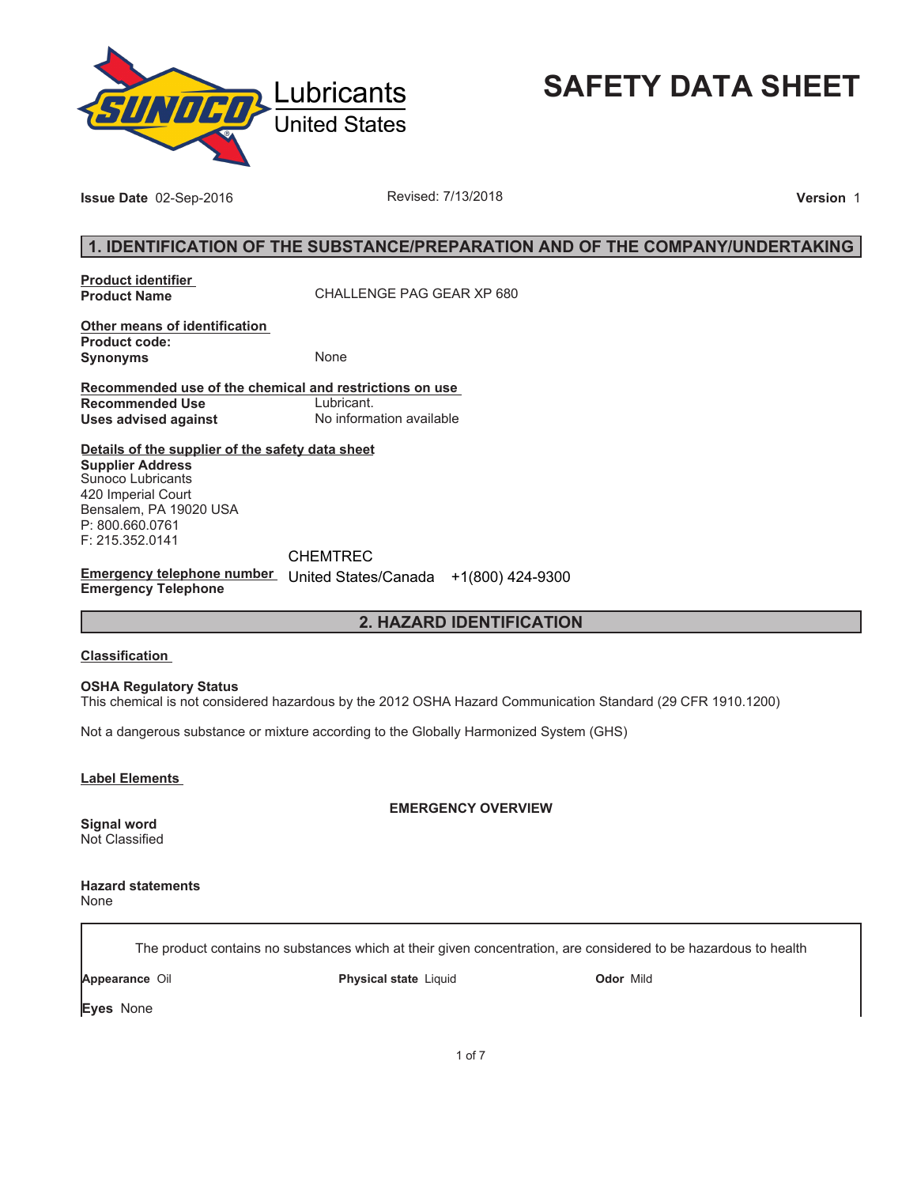

**SAFETY DATA SHEET**

**Issue Date** 02-Sep-2016 **Revised: 7/13/2018 Proposed: 7/13/2018 Version** 1

## **1. IDENTIFICATION OF THE SUBSTANCE/PREPARATION AND OF THE COMPANY/UNDERTAKING**

**Product identifier** 

**Product Name** CHALLENGE PAG GEAR XP 680

**Other means of identification Product code: Synonyms** None

**Recommended use of the chemical and restrictions on use Recommended Use<br>Uses advised against Uses advised against** No information available

**Details of the supplier of the safety data sheet Supplier Address** Sunoco Lubricants 420 Imperial Court Bensalem, PA 19020 USA P: 800.660.0761 F: 215.352.0141

**Emergency telephone number**  United States/Canada +1(800) 424-9300**Emergency Telephone** CHEMTREC

## **2. HAZARD IDENTIFICATION**

### **Classification**

**OSHA Regulatory Status**

This chemical is not considered hazardous by the 2012 OSHA Hazard Communication Standard (29 CFR 1910.1200)

Not a dangerous substance or mixture according to the Globally Harmonized System (GHS)

**Label Elements** 

**EMERGENCY OVERVIEW**

**Signal word** Not Classified

**Hazard statements** None

The product contains no substances which at their given concentration, are considered to be hazardous to health

**Appearance** Oil **Physical state** Liquid **Odor** Mild

**Eyes** None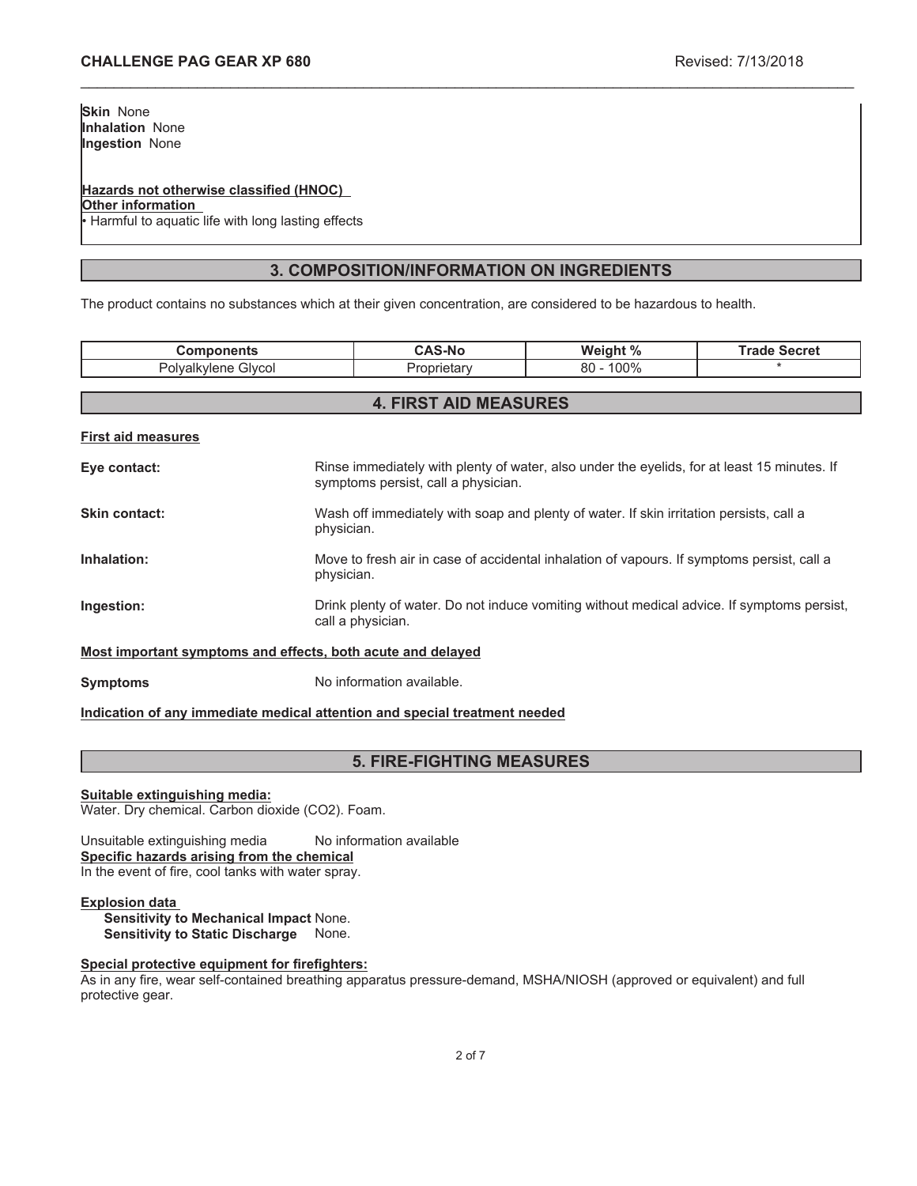## **Hazards not otherwise classified (HNOC)**

**Other information**

Harmful to aquatic life with long lasting effects

## **3. COMPOSITION/INFORMATION ON INGREDIENTS**

\_\_\_\_\_\_\_\_\_\_\_\_\_\_\_\_\_\_\_\_\_\_\_\_\_\_\_\_\_\_\_\_\_\_\_\_\_\_\_\_\_\_\_\_\_\_\_\_\_\_\_\_\_\_\_\_\_\_\_\_\_\_\_\_\_\_\_\_\_\_\_\_\_\_\_\_\_\_\_\_\_\_\_\_\_\_\_\_\_\_\_\_\_

The product contains no substances which at their given concentration, are considered to be hazardous to health.

| <b>Components</b>                                           |                                                                                                                                    | <b>CAS-No</b>                | Weight %     | <b>Trade Secret</b> |
|-------------------------------------------------------------|------------------------------------------------------------------------------------------------------------------------------------|------------------------------|--------------|---------------------|
| Polyalkylene Glycol                                         |                                                                                                                                    | Proprietary                  | $80 - 100\%$ |                     |
|                                                             |                                                                                                                                    |                              |              |                     |
|                                                             |                                                                                                                                    | <b>4. FIRST AID MEASURES</b> |              |                     |
| <b>First aid measures</b>                                   |                                                                                                                                    |                              |              |                     |
| Eye contact:                                                | Rinse immediately with plenty of water, also under the eyelids, for at least 15 minutes. If<br>symptoms persist, call a physician. |                              |              |                     |
| Skin contact:                                               | Wash off immediately with soap and plenty of water. If skin irritation persists, call a<br>physician.                              |                              |              |                     |
| Inhalation:                                                 | Move to fresh air in case of accidental inhalation of vapours. If symptoms persist, call a<br>physician.                           |                              |              |                     |
| Ingestion:                                                  | Drink plenty of water. Do not induce vomiting without medical advice. If symptoms persist,<br>call a physician.                    |                              |              |                     |
| Most important symptoms and effects, both acute and delayed |                                                                                                                                    |                              |              |                     |

**Symptoms** No information available.

## **Indication of any immediate medical attention and special treatment needed**

## **5. FIRE-FIGHTING MEASURES**

### **Suitable extinguishing media:**

Water. Dry chemical. Carbon dioxide (CO2). Foam.

Unsuitable extinguishing media No information available **Specific hazards arising from the chemical** In the event of fire, cool tanks with water spray.

### **Explosion data**

**Sensitivity to Mechanical Impact** None. **Sensitivity to Static Discharge** None.

### **Special protective equipment for firefighters:**

As in any fire, wear self-contained breathing apparatus pressure-demand, MSHA/NIOSH (approved or equivalent) and full protective gear.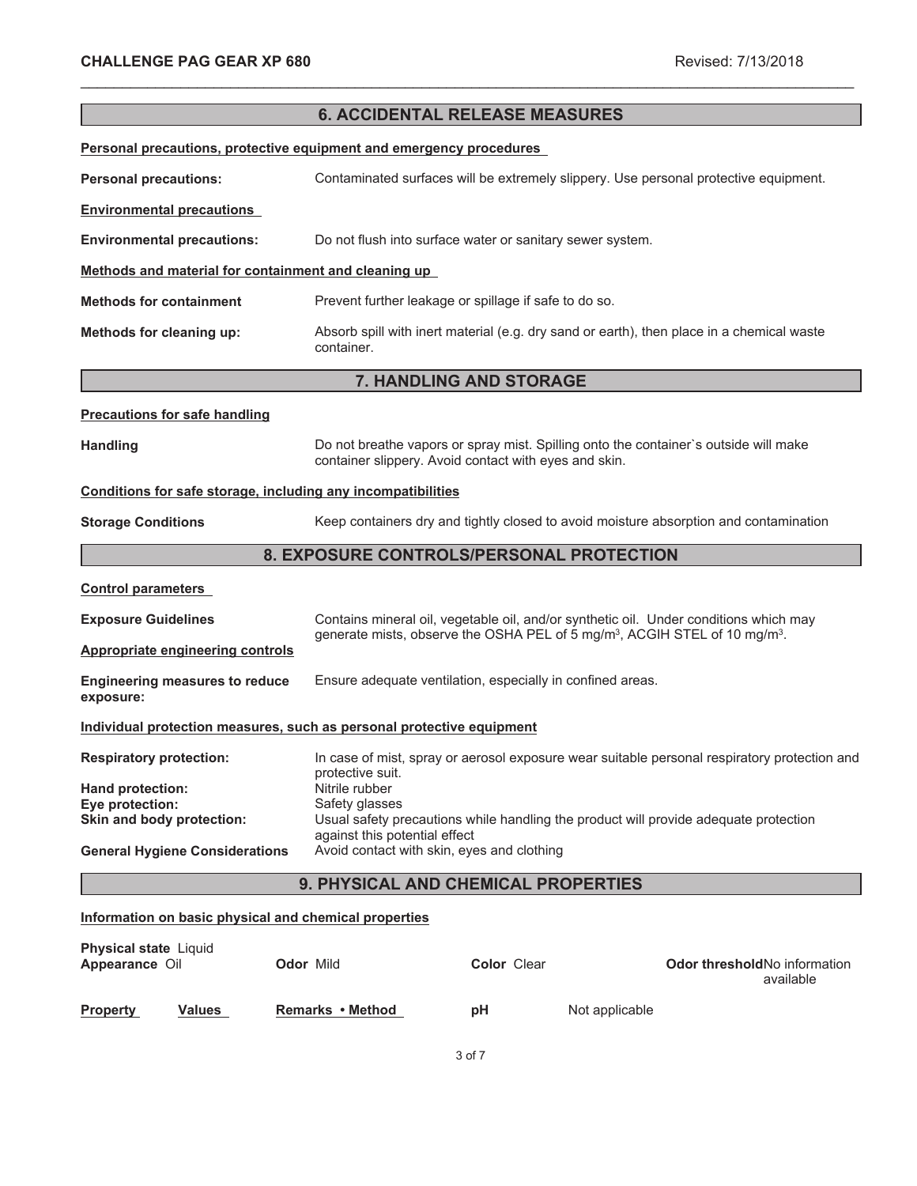|                                                                       |                                                                             | <b>6. ACCIDENTAL RELEASE MEASURES</b>                      |                                                                                                    |
|-----------------------------------------------------------------------|-----------------------------------------------------------------------------|------------------------------------------------------------|----------------------------------------------------------------------------------------------------|
| Personal precautions, protective equipment and emergency procedures   |                                                                             |                                                            |                                                                                                    |
| <b>Personal precautions:</b>                                          |                                                                             |                                                            | Contaminated surfaces will be extremely slippery. Use personal protective equipment.               |
| <b>Environmental precautions</b>                                      |                                                                             |                                                            |                                                                                                    |
| <b>Environmental precautions:</b>                                     |                                                                             | Do not flush into surface water or sanitary sewer system.  |                                                                                                    |
| Methods and material for containment and cleaning up                  |                                                                             |                                                            |                                                                                                    |
| <b>Methods for containment</b>                                        |                                                                             | Prevent further leakage or spillage if safe to do so.      |                                                                                                    |
| Methods for cleaning up:                                              | container.                                                                  |                                                            | Absorb spill with inert material (e.g. dry sand or earth), then place in a chemical waste          |
|                                                                       |                                                                             | 7. HANDLING AND STORAGE                                    |                                                                                                    |
| <b>Precautions for safe handling</b>                                  |                                                                             |                                                            |                                                                                                    |
| <b>Handling</b>                                                       |                                                                             | container slippery. Avoid contact with eyes and skin.      | Do not breathe vapors or spray mist. Spilling onto the container's outside will make               |
| Conditions for safe storage, including any incompatibilities          |                                                                             |                                                            |                                                                                                    |
| <b>Storage Conditions</b>                                             |                                                                             |                                                            | Keep containers dry and tightly closed to avoid moisture absorption and contamination              |
| 8. EXPOSURE CONTROLS/PERSONAL PROTECTION                              |                                                                             |                                                            |                                                                                                    |
| <b>Control parameters</b>                                             |                                                                             |                                                            |                                                                                                    |
| <b>Exposure Guidelines</b>                                            |                                                                             |                                                            | Contains mineral oil, vegetable oil, and/or synthetic oil. Under conditions which may              |
| <b>Appropriate engineering controls</b>                               |                                                                             |                                                            | generate mists, observe the OSHA PEL of 5 mg/m <sup>3</sup> , ACGIH STEL of 10 mg/m <sup>3</sup> . |
| <b>Engineering measures to reduce</b><br>exposure:                    |                                                                             | Ensure adequate ventilation, especially in confined areas. |                                                                                                    |
| Individual protection measures, such as personal protective equipment |                                                                             |                                                            |                                                                                                    |
| <b>Respiratory protection:</b>                                        | protective suit.                                                            |                                                            | In case of mist, spray or aerosol exposure wear suitable personal respiratory protection and       |
| Hand protection:                                                      | Nitrile rubber                                                              |                                                            |                                                                                                    |
| Eye protection:<br>Skin and body protection:                          | Safety glasses                                                              |                                                            | Usual safety precautions while handling the product will provide adequate protection               |
| <b>General Hygiene Considerations</b>                                 | against this potential effect<br>Avoid contact with skin, eyes and clothing |                                                            |                                                                                                    |
| 9. PHYSICAL AND CHEMICAL PROPERTIES                                   |                                                                             |                                                            |                                                                                                    |
| Information on basic physical and chemical properties                 |                                                                             |                                                            |                                                                                                    |
| Physical state Liquid<br>Appearance Oil                               | Odor Mild                                                                   | Color Clear                                                | Odor threshold No information                                                                      |

\_\_\_\_\_\_\_\_\_\_\_\_\_\_\_\_\_\_\_\_\_\_\_\_\_\_\_\_\_\_\_\_\_\_\_\_\_\_\_\_\_\_\_\_\_\_\_\_\_\_\_\_\_\_\_\_\_\_\_\_\_\_\_\_\_\_\_\_\_\_\_\_\_\_\_\_\_\_\_\_\_\_\_\_\_\_\_\_\_\_\_\_\_

| <b>TYPPVAINIIVV</b> VII |               | VWVI IIII        | <b>UUIVI VIVUI</b> |                | available |
|-------------------------|---------------|------------------|--------------------|----------------|-----------|
| <b>Property</b>         | <b>Values</b> | Remarks • Method | рH                 | Not applicable |           |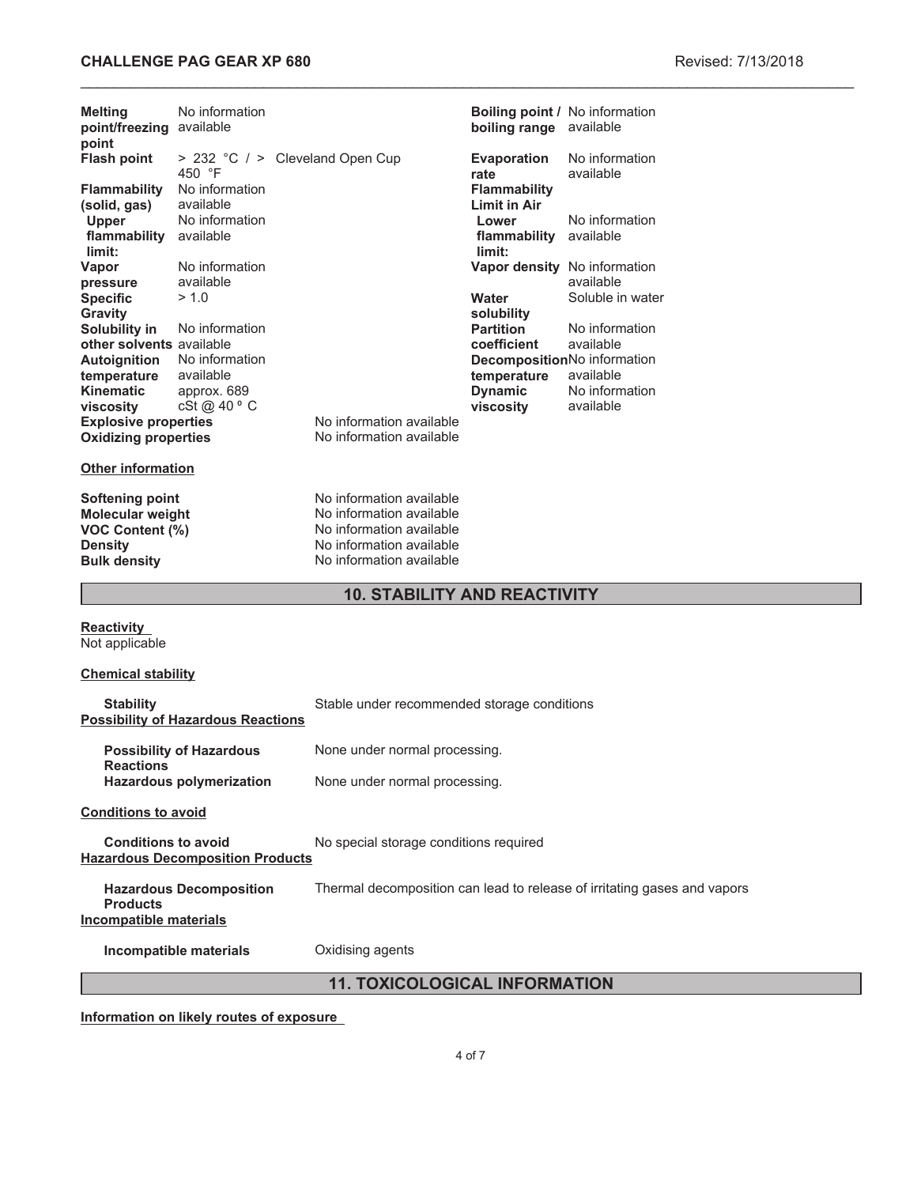## **CHALLENGE PAG GEAR XP 680 Revised: 7/13/2018**

| <b>Melting</b><br>point/freezing available<br>point                                                    | No information                            |                                                                                                                                          | <b>Boiling point / No information</b><br>boiling range available |                                          |  |
|--------------------------------------------------------------------------------------------------------|-------------------------------------------|------------------------------------------------------------------------------------------------------------------------------------------|------------------------------------------------------------------|------------------------------------------|--|
| <b>Flash point</b>                                                                                     | 450 °F                                    | > 232 °C / > Cleveland Open Cup                                                                                                          | <b>Evaporation</b><br>rate                                       | No information<br>available              |  |
| <b>Flammability</b><br>(solid, gas)                                                                    | No information<br>available               |                                                                                                                                          | <b>Flammability</b><br><b>Limit in Air</b>                       |                                          |  |
| Upper<br>flammability<br>limit:                                                                        | No information<br>available               |                                                                                                                                          | Lower<br>flammability available<br>limit:                        | No information                           |  |
| Vapor<br>pressure                                                                                      | No information<br>available               |                                                                                                                                          | Vapor density No information                                     | available                                |  |
| <b>Specific</b><br><b>Gravity</b><br>Solubility in                                                     | > 1.0<br>No information                   |                                                                                                                                          | Water<br>solubility<br><b>Partition</b>                          | Soluble in water<br>No information       |  |
| other solvents available<br><b>Autoignition</b>                                                        | No information                            |                                                                                                                                          | coefficient<br>DecompositionNo information                       | available                                |  |
| temperature<br><b>Kinematic</b><br>viscosity                                                           | available<br>approx. 689<br>cSt @ 40 ° C  |                                                                                                                                          | temperature<br><b>Dynamic</b><br>viscosity                       | available<br>No information<br>available |  |
| <b>Explosive properties</b><br><b>Oxidizing properties</b>                                             |                                           | No information available<br>No information available                                                                                     |                                                                  |                                          |  |
| <b>Other information</b>                                                                               |                                           |                                                                                                                                          |                                                                  |                                          |  |
| <b>Softening point</b><br>Molecular weight<br>VOC Content (%)<br><b>Density</b><br><b>Bulk density</b> |                                           | No information available<br>No information available<br>No information available<br>No information available<br>No information available |                                                                  |                                          |  |
|                                                                                                        |                                           | <b>10. STABILITY AND REACTIVITY</b>                                                                                                      |                                                                  |                                          |  |
| <b>Reactivity</b><br>Not applicable                                                                    |                                           |                                                                                                                                          |                                                                  |                                          |  |
| <b>Chemical stability</b>                                                                              |                                           |                                                                                                                                          |                                                                  |                                          |  |
| <b>Stability</b>                                                                                       | <b>Possibility of Hazardous Reactions</b> | Stable under recommended storage conditions                                                                                              |                                                                  |                                          |  |
| <b>Reactions</b>                                                                                       | <b>Possibility of Hazardous</b>           | None under normal processing.                                                                                                            |                                                                  |                                          |  |
|                                                                                                        | <b>Hazardous polymerization</b>           | None under normal processing.                                                                                                            |                                                                  |                                          |  |
| <b>Conditions to avoid</b>                                                                             |                                           |                                                                                                                                          |                                                                  |                                          |  |
| <b>Conditions to avoid</b>                                                                             | <b>Hazardous Decomposition Products</b>   | No special storage conditions required                                                                                                   |                                                                  |                                          |  |

**Hazardous Decomposition Products** Thermal decomposition can lead to release of irritating gases and vapors **Incompatible materials**

**Incompatible materials Oxidising agents** 

# **11. TOXICOLOGICAL INFORMATION**

**Information on likely routes of exposure**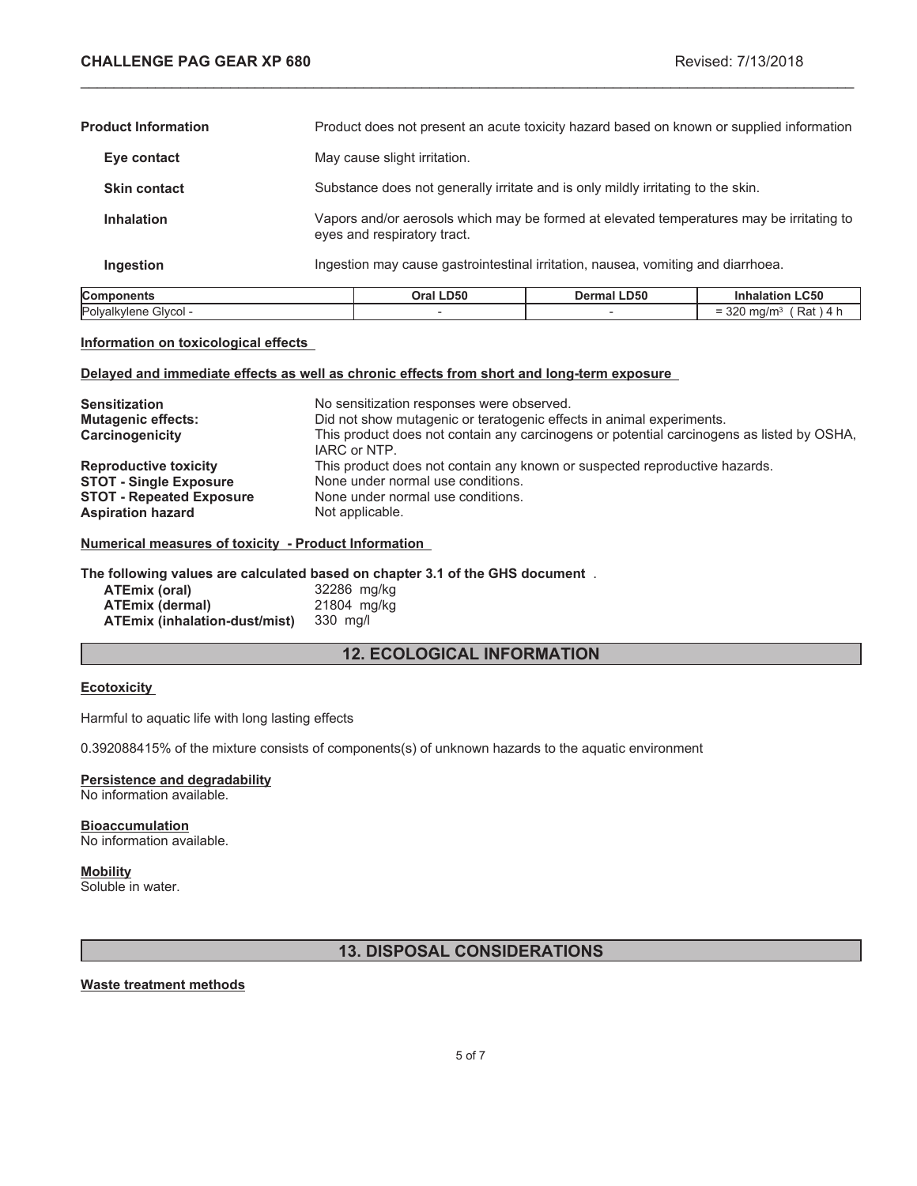$= 320$  mg/m<sup>3</sup> (Rat ) 4 h

| Components                 | Oral LD50                                                                                                               | <b>Dermal LD50</b>                                                                       | <b>Inhalation LC50</b> |
|----------------------------|-------------------------------------------------------------------------------------------------------------------------|------------------------------------------------------------------------------------------|------------------------|
| Ingestion                  | Ingestion may cause gastrointestinal irritation, nausea, vomiting and diarrhoea.                                        |                                                                                          |                        |
| <b>Inhalation</b>          | Vapors and/or aerosols which may be formed at elevated temperatures may be irritating to<br>eyes and respiratory tract. |                                                                                          |                        |
| <b>Skin contact</b>        | Substance does not generally irritate and is only mildly irritating to the skin.                                        |                                                                                          |                        |
| Eye contact                | May cause slight irritation.                                                                                            |                                                                                          |                        |
| <b>Product Information</b> |                                                                                                                         | Product does not present an acute toxicity hazard based on known or supplied information |                        |

\_\_\_\_\_\_\_\_\_\_\_\_\_\_\_\_\_\_\_\_\_\_\_\_\_\_\_\_\_\_\_\_\_\_\_\_\_\_\_\_\_\_\_\_\_\_\_\_\_\_\_\_\_\_\_\_\_\_\_\_\_\_\_\_\_\_\_\_\_\_\_\_\_\_\_\_\_\_\_\_\_\_\_\_\_\_\_\_\_\_\_\_\_

#### **Information on toxicological effects**

#### **Delayed and immediate effects as well as chronic effects from short and long-term exposure**

Polyalkylene Glycol -  $\overline{\phantom{a}}$  -  $\overline{\phantom{a}}$  -

| <b>Sensitization</b><br><b>Mutagenic effects:</b><br>Carcinogenicity | No sensitization responses were observed.<br>Did not show mutagenic or teratogenic effects in animal experiments.<br>This product does not contain any carcinogens or potential carcinogens as listed by OSHA,<br>IARC or NTP. |
|----------------------------------------------------------------------|--------------------------------------------------------------------------------------------------------------------------------------------------------------------------------------------------------------------------------|
| <b>Reproductive toxicity</b>                                         | This product does not contain any known or suspected reproductive hazards.                                                                                                                                                     |
| <b>STOT - Single Exposure</b>                                        | None under normal use conditions.                                                                                                                                                                                              |
| <b>STOT - Repeated Exposure</b>                                      | None under normal use conditions.                                                                                                                                                                                              |
| <b>Aspiration hazard</b>                                             | Not applicable.                                                                                                                                                                                                                |

## **Numerical measures of toxicity - Product Information**

#### **The following values are calculated based on chapter 3.1 of the GHS document** .

| ATEmix (oral)                 | 32286 mg/kg |
|-------------------------------|-------------|
| <b>ATEmix (dermal)</b>        | 21804 mg/kg |
| ATEmix (inhalation-dust/mist) | 330 mg/l    |

## **12. ECOLOGICAL INFORMATION**

#### **Ecotoxicity**

Harmful to aquatic life with long lasting effects

0.392088415% of the mixture consists of components(s) of unknown hazards to the aquatic environment

# **Persistence and degradability**

No information available.

#### **Bioaccumulation** No information available.

### **Mobility**

Soluble in water.

## **13. DISPOSAL CONSIDERATIONS**

### **Waste treatment methods**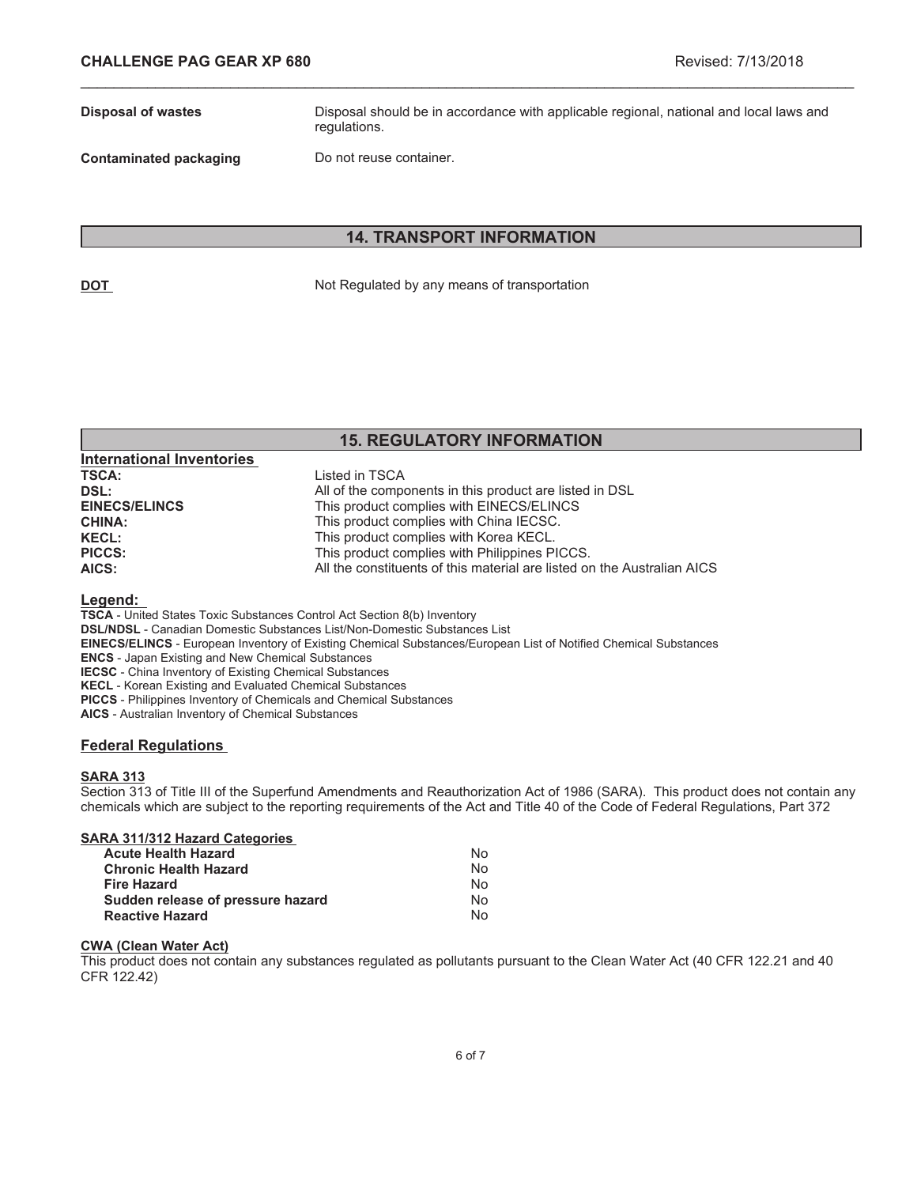**Disposal of wastes** Disposal should be in accordance with applicable regional, national and local laws and regulations.

**Contaminated packaging Do not reuse container.** 

## **14. TRANSPORT INFORMATION**

\_\_\_\_\_\_\_\_\_\_\_\_\_\_\_\_\_\_\_\_\_\_\_\_\_\_\_\_\_\_\_\_\_\_\_\_\_\_\_\_\_\_\_\_\_\_\_\_\_\_\_\_\_\_\_\_\_\_\_\_\_\_\_\_\_\_\_\_\_\_\_\_\_\_\_\_\_\_\_\_\_\_\_\_\_\_\_\_\_\_\_\_\_

**DOT** Not Regulated by any means of transportation

## **15. REGULATORY INFORMATION**

| <b>International Inventories</b> |                                                                         |
|----------------------------------|-------------------------------------------------------------------------|
| <b>TSCA:</b>                     | Listed in TSCA                                                          |
| DSL:                             | All of the components in this product are listed in DSL                 |
| <b>EINECS/ELINCS</b>             | This product complies with EINECS/ELINCS                                |
| <b>CHINA:</b>                    | This product complies with China IECSC.                                 |
| <b>KECL:</b>                     | This product complies with Korea KECL.                                  |
| <b>PICCS:</b>                    | This product complies with Philippines PICCS.                           |
| AICS:                            | All the constituents of this material are listed on the Australian AICS |

#### **Legend:**

**TSCA** - United States Toxic Substances Control Act Section 8(b) Inventory

**DSL/NDSL** - Canadian Domestic Substances List/Non-Domestic Substances List

- **EINECS/ELINCS** European Inventory of Existing Chemical Substances/European List of Notified Chemical Substances
- **ENCS** Japan Existing and New Chemical Substances

**IECSC** - China Inventory of Existing Chemical Substances

**KECL** - Korean Existing and Evaluated Chemical Substances

**PICCS** - Philippines Inventory of Chemicals and Chemical Substances

**AICS** - Australian Inventory of Chemical Substances

### **Federal Regulations**

### **SARA 313**

Section 313 of Title III of the Superfund Amendments and Reauthorization Act of 1986 (SARA). This product does not contain any chemicals which are subject to the reporting requirements of the Act and Title 40 of the Code of Federal Regulations, Part 372

| N٥ |
|----|
| N٥ |
| N٥ |
| N٥ |
| N٥ |
|    |

#### **CWA (Clean Water Act)**

This product does not contain any substances regulated as pollutants pursuant to the Clean Water Act (40 CFR 122.21 and 40 CFR 122.42)